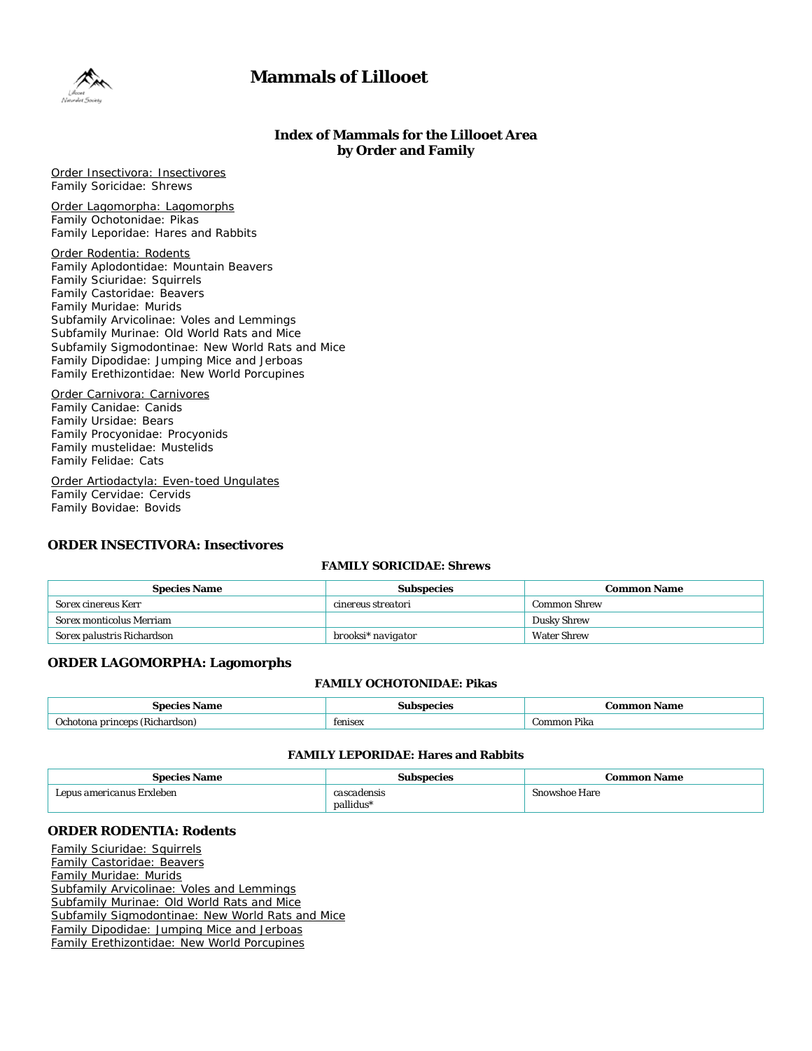# **Mammals of Lillooet**



# **Index of Mammals for the Lillooet Area by Order and Family**

Order Insectivora: Insectivores Family Soricidae: Shrews

Order Lagomorpha: Lagomorphs Family Ochotonidae: Pikas Family Leporidae: Hares and Rabbits

Order Rodentia: Rodents Family Aplodontidae: Mountain Beavers Family Sciuridae: Squirrels Family Castoridae: Beavers Family Muridae: Murids Subfamily Arvicolinae: Voles and Lemmings Subfamily Murinae: Old World Rats and Mice Subfamily Sigmodontinae: New World Rats and Mice Family Dipodidae: Jumping Mice and Jerboas Family Erethizontidae: New World Porcupines

Order Carnivora: Carnivores Family Canidae: Canids Family Ursidae: Bears Family Procyonidae: Procyonids Family mustelidae: Mustelids Family Felidae: Cats

Order Artiodactyla: Even-toed Ungulates Family Cervidae: Cervids Family Bovidae: Bovids

# **ORDER INSECTIVORA: Insectivores**

# **FAMILY SORICIDAE: Shrews**

| <b>Species Name</b>             | <b>Subspecies</b>  | <b>Common Name</b>  |
|---------------------------------|--------------------|---------------------|
| <i>Sorex cinereus</i> Kerr      | cinereus streatori | <b>Common Shrew</b> |
| <i>Sorex monticolus</i> Merriam |                    | <b>Dusky Shrew</b>  |
| Sorex palustris Richardson      | brooksi* navigator | <b>Water Shrew</b>  |

## **ORDER LAGOMORPHA: Lagomorphs**

#### **FAMILY OCHOTONIDAE: Pikas**

| ាme :                            |         | Name<br>$-$                          |
|----------------------------------|---------|--------------------------------------|
| Pichordcor<br>rincone<br>пагомлл | tenisex | $\mathbf{m}$<br>. <i>. .</i><br>'INd |

# **FAMILY LEPORIDAE: Hares and Rabbits**

| <b>Species Name</b>                | Subspecies  | Common Name          |
|------------------------------------|-------------|----------------------|
| ' <i>Lepus americanus</i> Erxleben | cascadensis | <b>Snowshoe Hare</b> |
|                                    | pallidus*   |                      |

# **ORDER RODENTIA: Rodents**

Family Sciuridae: Squirrels Family Castoridae: Beavers Family Muridae: Murids Subfamily Arvicolinae: Voles and Lemmings Subfamily Murinae: Old World Rats and Mice Subfamily Sigmodontinae: New World Rats and Mice Family Dipodidae: Jumping Mice and Jerboas Family Erethizontidae: New World Porcupines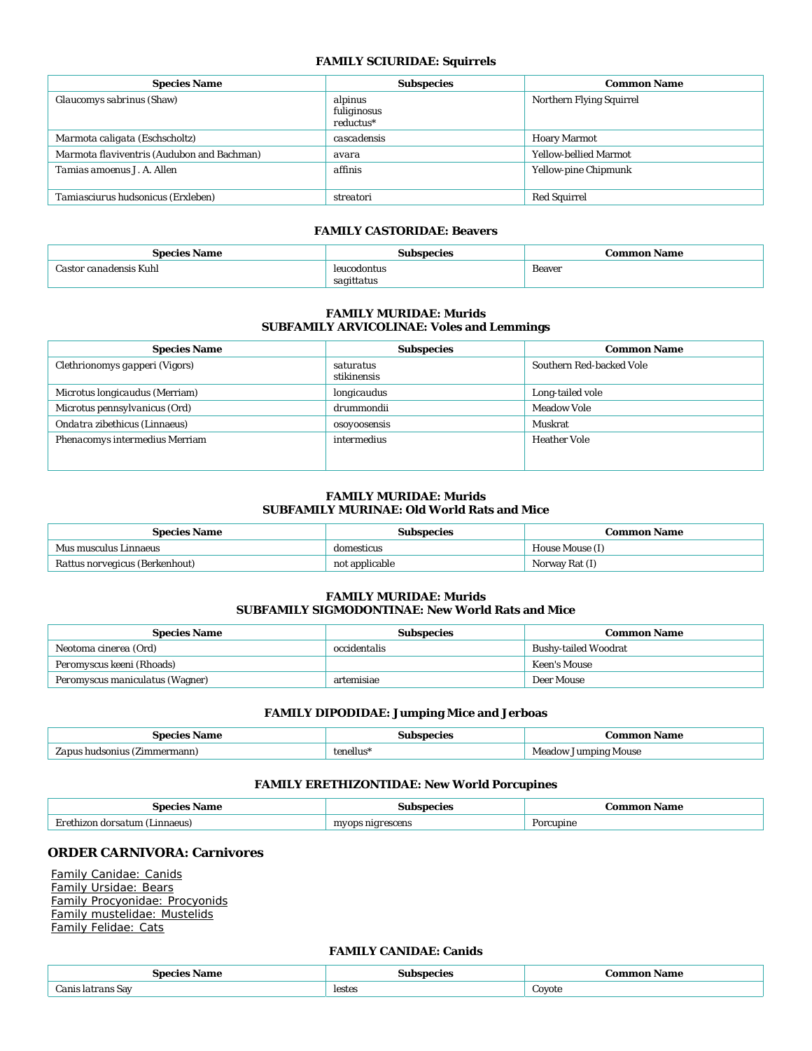# **FAMILY SCIURIDAE: Squirrels**

| <b>Species Name</b>                        | <b>Subspecies</b>                     | <b>Common Name</b>           |
|--------------------------------------------|---------------------------------------|------------------------------|
| Glaucomys sabrinus (Shaw)                  | alpinus<br>fuliginosus<br>$reductus*$ | Northern Flying Squirrel     |
| Marmota caligata (Eschscholtz)             | cascadensis                           | <b>Hoary Marmot</b>          |
| Marmota flaviventris (Audubon and Bachman) | avara                                 | <b>Yellow-bellied Marmot</b> |
| <i>Tamias amoenus J. A. Allen</i>          | affinis                               | Yellow-pine Chipmunk         |
| Tamiasciurus hudsonicus (Erxleben)         | streatori                             | <b>Red Squirrel</b>          |

#### **FAMILY CASTORIDAE: Beavers**

| Species.<br>Name<br>້        | mecies             | <b>Common Name</b> |
|------------------------------|--------------------|--------------------|
| $-$<br><i>anadensis</i> Kuhl |                    | <b>Beaver</b><br>. |
|                              | $3d_{\mathcal{F}}$ |                    |

## **FAMILY MURIDAE: Murids SUBFAMILY ARVICOLINAE: Voles and Lemmings**

| <b>Species Name</b>                   | <b>Subspecies</b>        | <b>Common Name</b>       |
|---------------------------------------|--------------------------|--------------------------|
| Clethrionomys gapperi (Vigors)        | saturatus<br>stikinensis | Southern Red-backed Vole |
| <i>Microtus longicaudus</i> (Merriam) | longicaudus              | Long-tailed vole         |
| Microtus pennsylvanicus (Ord)         | drummondii               | <b>Meadow Vole</b>       |
| Ondatra zibethicus (Linnaeus)         | osoyoosensis             | Muskrat                  |
| Phenacomys intermedius Merriam        | intermedius              | <b>Heather Vole</b>      |

#### **FAMILY MURIDAE: Murids SUBFAMILY MURINAE: Old World Rats and Mice**

| <b>Species Name</b>                   | Subspecies     | Common Name     |
|---------------------------------------|----------------|-----------------|
| <i>Mus musculus</i> Linnaeus          | domesticus     | House Mouse (I) |
| <i>Rattus norvegicus</i> (Berkenhout) | not applicable | Norway Rat (I)  |

#### **FAMILY MURIDAE: Murids SUBFAMILY SIGMODONTINAE: New World Rats and Mice**

| <b>Species Name</b>                    | <b>Subspecies</b> | <b>Common Name</b>          |
|----------------------------------------|-------------------|-----------------------------|
| <i>Neotoma cinerea</i> (Ord)           | occidentalis      | <b>Bushy-tailed Woodrat</b> |
| <i>Peromyscus keeni</i> (Rhoads)       |                   | Keen's Mouse                |
| <i>Peromyscus maniculatus</i> (Wagner) | artemisiae        | Deer Mouse                  |

#### **FAMILY DIPODIDAE: Jumping Mice and Jerboas**

| ıme                                    | ACIA.     | Jome                           |
|----------------------------------------|-----------|--------------------------------|
| _______                                | -------   |                                |
| nmin<br>(Zimmermann)<br>hu.<br>,,,,,,, | tenellus' | lumning<br>viouse<br>d∩w<br>Me |

#### **FAMILY ERETHIZONTIDAE: New World Porcupines**

| ™ame<br>.                      | oecies<br>.<br>.       | Name      |
|--------------------------------|------------------------|-----------|
| dorsatum<br>(Linnaeus)<br>חזרי | ; nigrescens<br>m۱<br> | Porcupine |

# **ORDER CARNIVORA: Carnivores**

Family Canidae: Canids Family Ursidae: Bears Family Procyonidae: Procyonids Family mustelidae: Mustelids Family Felidae: Cats

#### **FAMILY CANIDAE: Canids**

|                        | species |             |
|------------------------|---------|-------------|
|                        | .su*    | :ommon      |
| Name                   | -----   | Vame        |
|                        | .       |             |
| $\sim$<br>'anis<br>Sav | lestes  | -<br>Coyote |